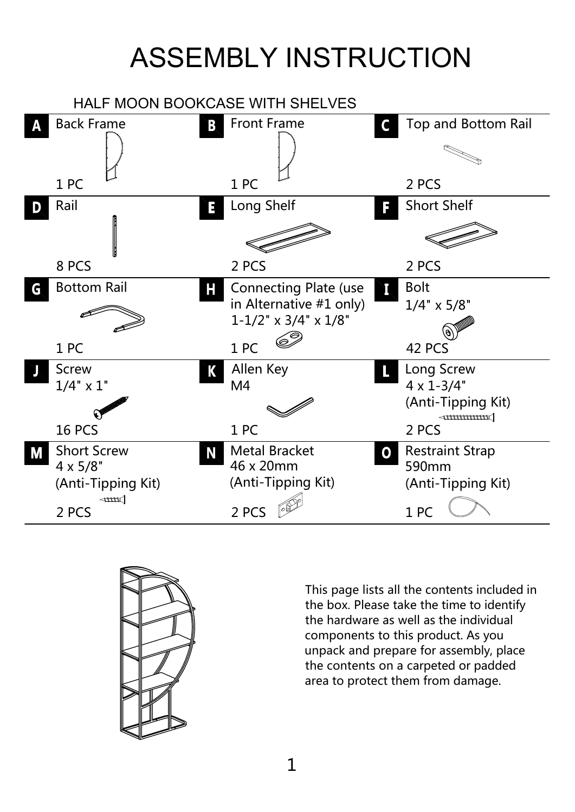# ASSEMBLY INSTRUCTION





This page lists all the contents included in the box. Please take the time to identify the hardware as well as the individual components to this product. As you unpack and prepare for assembly, place the contents on a carpeted or padded area to protect them from damage.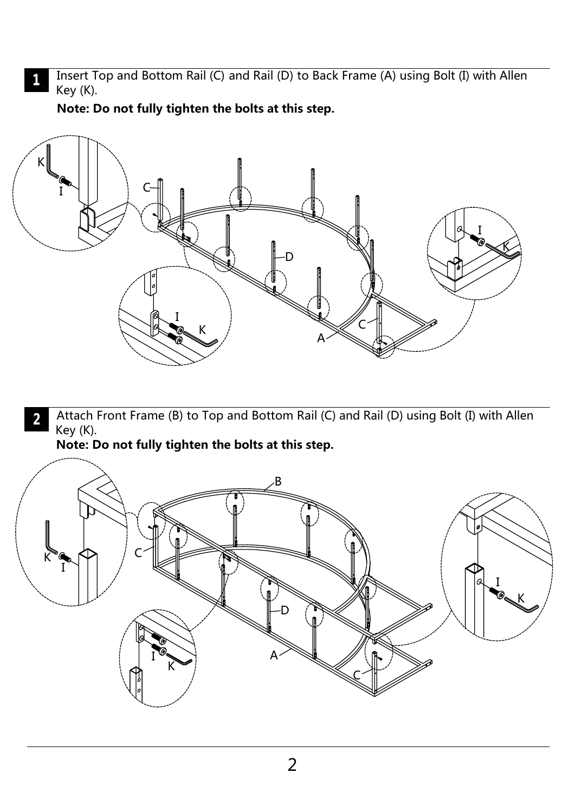Insert Top and Bottom Rail (C) and Rail (D) to Back Frame (A) using Bolt (I) with Allen Key (K).

**Note: Do not fully tighten the bolts at this step.**

 $\mathbf{L}$ 



Attach Front Frame (B) to Top and Bottom Rail (C) and Rail (D) using Bolt (I) with Allen  $\mathbf 2$ Key (K).

**Note: Do not fully tighten the bolts at this step.**

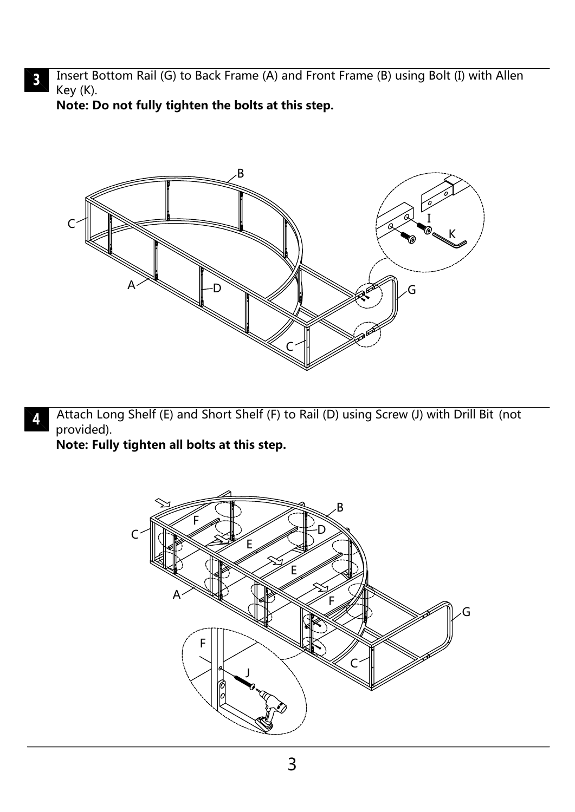Insert Bottom Rail (G) to Back Frame (A) and Front Frame (B) using Bolt (I) with Allen  $\mathbf{3}$ Key (K).

**Note: Do not fully tighten the bolts at this step.**



Attach Long Shelf (E) and Short Shelf (F) to Rail (D) using Screw (J) with Drill Bit (not provided).

**Note: Fully tighten all bolts at this step.**

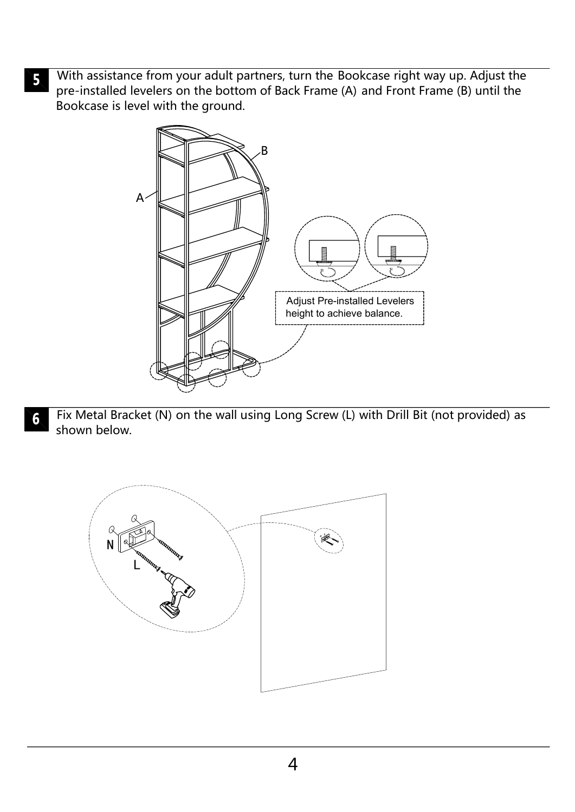With assistance from your adult partners, turn the Bookcase right way up. Adjust the  $\overline{\mathbf{5}}$ pre-installed levelers on the bottom of Back Frame (A) and Front Frame (B) until the Bookcase is level with the ground.



Fix Metal Bracket (N) on the wall using Long Screw (L) with Drill Bit (not provided) as  $6 \,$ shown below.

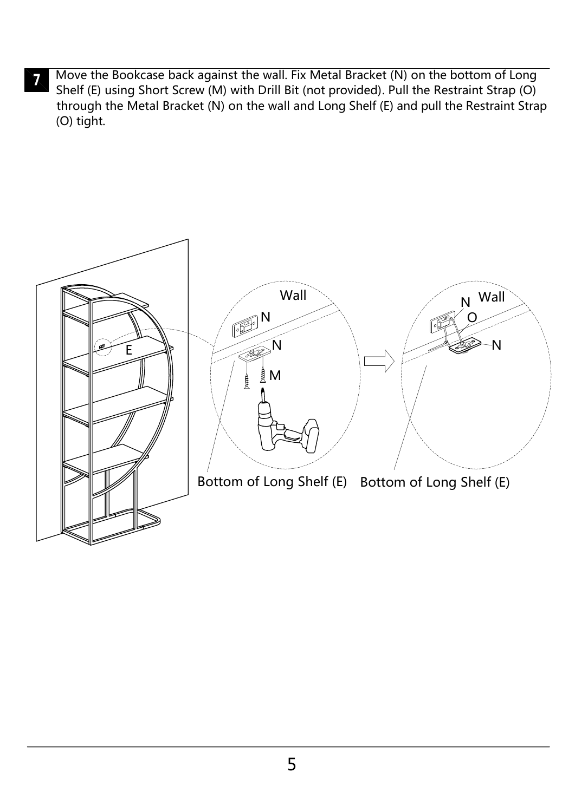Move the Bookcase back against the wall. Fix Metal Bracket (N) on the bottom of Long  $\overline{\mathbf{Z}}$ Shelf (E) using Short Screw (M) with Drill Bit (not provided). Pull the Restraint Strap (O) through the Metal Bracket (N) on the wall and Long Shelf (E) and pull the Restraint Strap (O) tight.

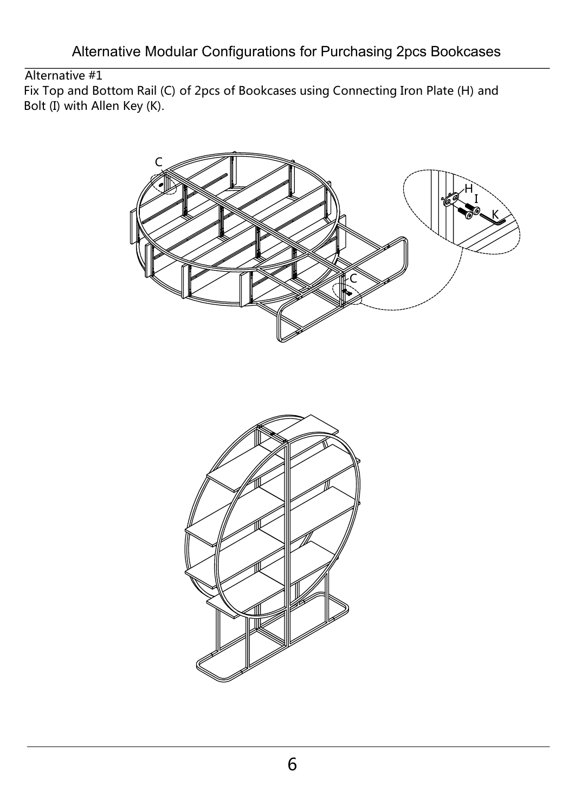Alternative Modular Configurations for Purchasing 2pcs Bookcases

## Alternative #1

Fix Top and Bottom Rail (C) of 2pcs of Bookcases using Connecting Iron Plate (H) and Bolt (I) with Allen Key (K).